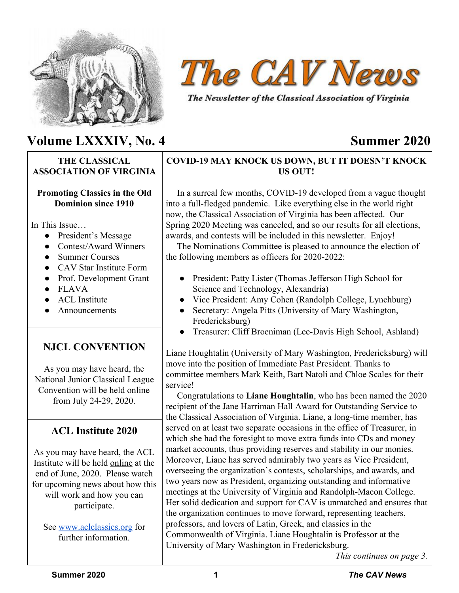



The Newsletter of the Classical Association of Virginia

# **Volume LXXXIV, No. 4 Summer 2020**

# **THE CLASSICAL ASSOCIATION OF VIRGINIA**

## **Promoting Classics in the Old Dominion since 1910**

In This Issue

- President's Message
- Contest/Award Winners
- Summer Courses
- CAV Star Institute Form
- Prof. Development Grant
- FLAVA
- ACL Institute
- Announcements

# **NJCL CONVENTION**

As you may have heard, the National Junior Classical League Convention will be held online from July 24-29, 2020.

# **ACL Institute 2020**

As you may have heard, the ACL Institute will be held online at the end of June, 2020. Please watch for upcoming news about how this will work and how you can participate.

See [www.aclclassics.org](http://www.aclclassics.org/) for further information

# **COVID-19 MAY KNOCK US DOWN, BUT IT DOESN'T KNOCK US OUT!**

 In a surreal few months, COVID-19 developed from a vague thought into a full-fledged pandemic. Like everything else in the world right now, the Classical Association of Virginia has been affected. Our Spring 2020 Meeting was canceled, and so our results for all elections, awards, and contests will be included in this newsletter. Enjoy!

 The Nominations Committee is pleased to announce the election of the following members as officers for 2020-2022:

- President: Patty Lister (Thomas Jefferson High School for Science and Technology, Alexandria)
- Vice President: Amy Cohen (Randolph College, Lynchburg)
- Secretary: Angela Pitts (University of Mary Washington, Fredericksburg)
- Treasurer: Cliff Broeniman (Lee-Davis High School, Ashland)

Liane Houghtalin (University of Mary Washington, Fredericksburg) will move into the position of Immediate Past President. Thanks to committee members Mark Keith, Bart Natoli and Chloe Scales for their service!

 Congratulations to **Liane Houghtalin**, who has been named the 2020 recipient of the Jane Harriman Hall Award for Outstanding Service to the Classical Association of Virginia. Liane, a long-time member, has served on at least two separate occasions in the office of Treasurer, in which she had the foresight to move extra funds into CDs and money market accounts, thus providing reserves and stability in our monies. Moreover, Liane has served admirably two years as Vice President, overseeing the organization's contests, scholarships, and awards, and two years now as President, organizing outstanding and informative meetings at the University of Virginia and Randolph-Macon College. Her solid dedication and support for CAV is unmatched and ensures that the organization continues to move forward, representing teachers, professors, and lovers of Latin, Greek, and classics in the Commonwealth of Virginia. Liane Houghtalin is Professor at the University of Mary Washington in Fredericksburg.

*This continues on page 3.*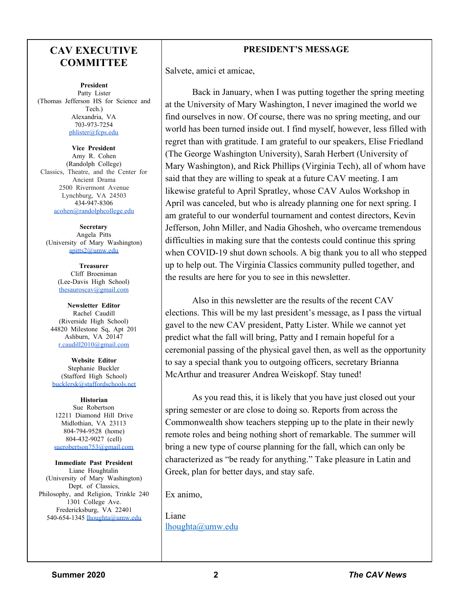# **CAV EXECUTIVE COMMITTEE**

**President** Patty Lister (Thomas Jefferson HS for Science and Tech.) Alexandria, VA 703-973-7254 [phlister@fcps.edu](mailto:phlister@fcps.edu)

**Vice President** Amy R. Cohen (Randolph College) Classics, Theatre, and the Center for Ancient Drama 2500 Rivermont Avenue Lynchburg, VA 24503 434-947-8306 [acohen@randolphcollege.edu](mailto:acohen@randolphcollege.edu)

**Secretary** Angela Pitts (University of Mary Washington) [apitts2@umw.edu](mailto:apitts2@umw.edu)

> **Treasurer** Cliff Broeniman (Lee-Davis High School) [thesauroscav@gmail.com](mailto:thesauroscav@gmail.com)

**Newsletter Editor** Rachel Caudill (Riverside High School) 44820 Milestone Sq, Apt 201 Ashburn, VA 20147 [r.caudill2010@gmail.com](mailto:r.caudill2010@gmail.com)

**Website Editor** Stephanie Buckler (Stafford High School) [bucklersk@staffordschools.net](mailto:bucklersk@staffordschools.net)

**Historian** Sue Robertson 12211 Diamond Hill Drive Midlothian, VA 23113 804-794-9528 (home) 804-432-9027 (cell) [suerobertson753@gmail.com](mailto:suerobertson753@gmail.com)

**Immediate Past President** Liane Houghtalin (University of Mary Washington) Dept. of Classics, Philosophy, and Religion, Trinkle 240 1301 College Ave. Fredericksburg, VA 22401 540-654-1345 [lhoughta@umw.edu](mailto:lhoughta@umw.edu)

# **PRESIDENT'S MESSAGE**

Salvete, amici et amicae,

Back in January, when I was putting together the spring meeting at the University of Mary Washington, I never imagined the world we find ourselves in now. Of course, there was no spring meeting, and our world has been turned inside out. I find myself, however, less filled with regret than with gratitude. I am grateful to our speakers, Elise Friedland (The George Washington University), Sarah Herbert (University of Mary Washington), and Rick Phillips (Virginia Tech), all of whom have said that they are willing to speak at a future CAV meeting. I am likewise grateful to April Spratley, whose CAV Aulos Workshop in April was canceled, but who is already planning one for next spring. I am grateful to our wonderful tournament and contest directors, Kevin Jefferson, John Miller, and Nadia Ghosheh, who overcame tremendous difficulties in making sure that the contests could continue this spring when COVID-19 shut down schools. A big thank you to all who stepped up to help out. The Virginia Classics community pulled together, and the results are here for you to see in this newsletter.

Also in this newsletter are the results of the recent CAV elections. This will be my last president's message, as I pass the virtual gavel to the new CAV president, Patty Lister. While we cannot yet predict what the fall will bring, Patty and I remain hopeful for a ceremonial passing of the physical gavel then, as well as the opportunity to say a special thank you to outgoing officers, secretary Brianna McArthur and treasurer Andrea Weiskopf. Stay tuned!

As you read this, it is likely that you have just closed out your spring semester or are close to doing so. Reports from across the Commonwealth show teachers stepping up to the plate in their newly remote roles and being nothing short of remarkable. The summer will bring a new type of course planning for the fall, which can only be characterized as "be ready for anything." Take pleasure in Latin and Greek, plan for better days, and stay safe.

Ex animo,

Liane [lhoughta@umw.edu](mailto:lhoughta@umw.edu)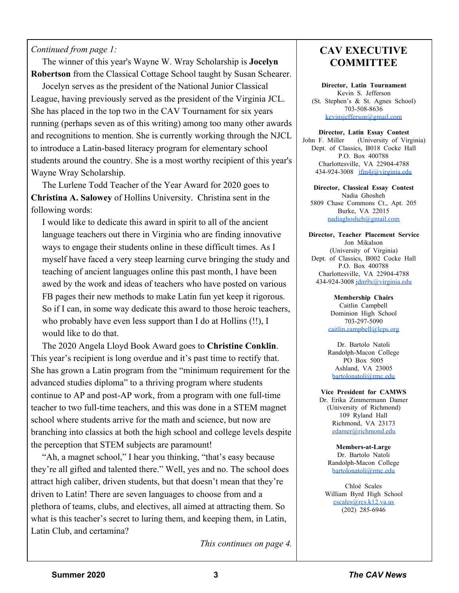# *Continued from page 1:*

 The winner of this year's Wayne W. Wray Scholarship is **Jocelyn Robertson** from the Classical Cottage School taught by Susan Schearer.

 Jocelyn serves as the president of the National Junior Classical League, having previously served as the president of the Virginia JCL. She has placed in the top two in the CAV Tournament for six years running (perhaps seven as of this writing) among too many other awards and recognitions to mention. She is currently working through the NJCL to introduce a Latin-based literacy program for elementary school students around the country. She is a most worthy recipient of this year's Wayne Wray Scholarship.

 The Lurlene Todd Teacher of the Year Award for 2020 goes to **Christina A. Salowey** of Hollins University. Christina sent in the following words:

 I would like to dedicate this award in spirit to all of the ancient language teachers out there in Virginia who are finding innovative ways to engage their students online in these difficult times. As I myself have faced a very steep learning curve bringing the study and teaching of ancient languages online this past month, I have been awed by the work and ideas of teachers who have posted on various FB pages their new methods to make Latin fun yet keep it rigorous. So if I can, in some way dedicate this award to those heroic teachers, who probably have even less support than I do at Hollins (!!), I would like to do that.

 The 2020 Angela Lloyd Book Award goes to **Christine Conklin**. This year's recipient is long overdue and it's past time to rectify that. She has grown a Latin program from the "minimum requirement for the advanced studies diploma" to a thriving program where students continue to AP and post-AP work, from a program with one full-time teacher to two full-time teachers, and this was done in a STEM magnet school where students arrive for the math and science, but now are branching into classics at both the high school and college levels despite the perception that STEM subjects are paramount!

 "Ah, a magnet school," I hear you thinking, "that's easy because they're all gifted and talented there." Well, yes and no. The school does attract high caliber, driven students, but that doesn't mean that they're driven to Latin! There are seven languages to choose from and a plethora of teams, clubs, and electives, all aimed at attracting them. So what is this teacher's secret to luring them, and keeping them, in Latin, Latin Club, and certamina?

*This continues on page 4.*

# **CAV EXECUTIVE COMMITTEE**

**Director, Latin Tournament** Kevin S. Jefferson (St. Stephen's & St. Agnes School) 703-508-8636 [kevinsjefferson@gmail.com](mailto:kevinsjefferson@gmail.com)

**Director, Latin Essay Contest** John F. Miller (University of Virginia) Dept. of Classics, B018 Cocke Hall P.O. Box 400788 Charlottesville, VA 22904-4788 434-924-3008 [jfm4j@virginia.edu](mailto:jfm4j@virginia.edu)

**Director, Classical Essay Contest** Nadia Ghosheh 5809 Chase Commons Ct., Apt. 205 Burke, VA 22015 [nadiaghosheh@gmail.com](mailto:nadiaghosheh@gmail.com)

**Director, Teacher Placement Service** Jon Mikalson (University of Virginia) Dept. of Classics, B002 Cocke Hall P.O. Box 400788 Charlottesville, VA 22904-4788 434-924-3008 [jdm9x@virginia.edu](mailto:jdm9x@virginia.edu)

> **Membership Chairs** Caitlin Campbell Dominion High School 703-297-5090 [caitlin.campbell@lcps.org](mailto:caitlin.campbell@lcps.org)

> Dr. Bartolo Natoli Randolph-Macon College PO Box 5005 Ashland, VA 23005 [bartolonatoli@rmc.edu](mailto:bartolonatoli@rmc.edu)

**Vice President for CAMWS** Dr. Erika Zimmermann Damer (University of Richmond) 109 Ryland Hall Richmond, VA 23173 [edamer@richmond.edu](mailto:edamer@richmond.edu)

**Members-at-Large** Dr. Bartolo Natoli Randolph-Macon College [bartolonatoli@rmc.edu](mailto:bartolonatoli@rmc.edu)

Chloé Scales William Byrd High School [cscales@rcs.k12.va.us](mailto:cscales@rcs.k12.va.us) (202) 285-6946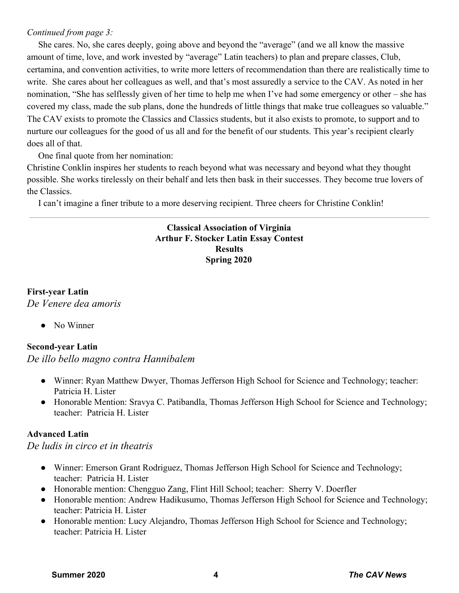# *Continued from page 3:*

 She cares. No, she cares deeply, going above and beyond the "average" (and we all know the massive amount of time, love, and work invested by "average" Latin teachers) to plan and prepare classes, Club, certamina, and convention activities, to write more letters of recommendation than there are realistically time to write. She cares about her colleagues as well, and that's most assuredly a service to the CAV. As noted in her nomination, "She has selflessly given of her time to help me when I've had some emergency or other – she has covered my class, made the sub plans, done the hundreds of little things that make true colleagues so valuable." The CAV exists to promote the Classics and Classics students, but it also exists to promote, to support and to nurture our colleagues for the good of us all and for the benefit of our students. This year's recipient clearly does all of that.

One final quote from her nomination:

Christine Conklin inspires her students to reach beyond what was necessary and beyond what they thought possible. She works tirelessly on their behalf and lets then bask in their successes. They become true lovers of the Classics.

I can't imagine a finer tribute to a more deserving recipient. Three cheers for Christine Conklin!

# **Classical Association of Virginia Arthur F. Stocker Latin Essay Contest Results Spring 2020**

# **First-year Latin** *De Venere dea amoris*

• No Winner

# **Second-year Latin**

# *De illo bello magno contra Hannibalem*

- Winner: Ryan Matthew Dwyer, Thomas Jefferson High School for Science and Technology; teacher: Patricia H. Lister
- Honorable Mention: Sravya C. Patibandla, Thomas Jefferson High School for Science and Technology; teacher: Patricia H. Lister

# **Advanced Latin**

*De ludis in circo et in theatris*

- Winner: Emerson Grant Rodriguez, Thomas Jefferson High School for Science and Technology; teacher: Patricia H. Lister
- Honorable mention: Chengguo Zang, Flint Hill School; teacher: Sherry V. Doerfler
- Honorable mention: Andrew Hadikusumo, Thomas Jefferson High School for Science and Technology; teacher: Patricia H. Lister
- Honorable mention: Lucy Alejandro, Thomas Jefferson High School for Science and Technology; teacher: Patricia H. Lister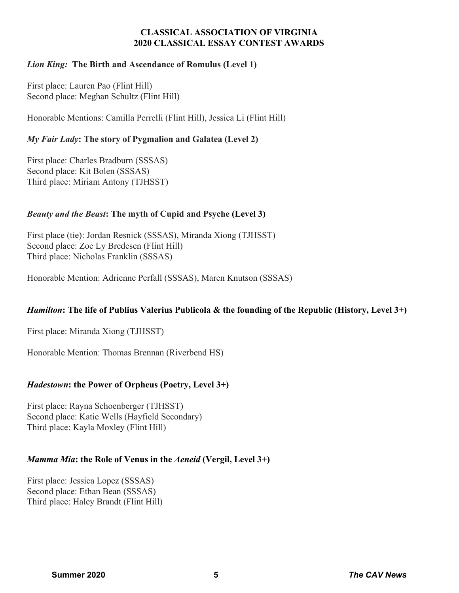# **CLASSICAL ASSOCIATION OF VIRGINIA 2020 CLASSICAL ESSAY CONTEST AWARDS**

# *Lion King:* **The Birth and Ascendance of Romulus (Level 1)**

First place: Lauren Pao (Flint Hill) Second place: Meghan Schultz (Flint Hill)

Honorable Mentions: Camilla Perrelli (Flint Hill), Jessica Li (Flint Hill)

# *My Fair Lady***: The story of Pygmalion and Galatea (Level 2)**

First place: Charles Bradburn (SSSAS) Second place: Kit Bolen (SSSAS) Third place: Miriam Antony (TJHSST)

# *Beauty and the Beast***: The myth of Cupid and Psyche (Level 3)**

First place (tie): Jordan Resnick (SSSAS), Miranda Xiong (TJHSST) Second place: Zoe Ly Bredesen (Flint Hill) Third place: Nicholas Franklin (SSSAS)

Honorable Mention: Adrienne Perfall (SSSAS), Maren Knutson (SSSAS)

# *Hamilton***: The life of Publius Valerius Publicola & the founding of the Republic (History, Level 3+)**

First place: Miranda Xiong (TJHSST)

Honorable Mention: Thomas Brennan (Riverbend HS)

# *Hadestown***: the Power of Orpheus (Poetry, Level 3+)**

First place: Rayna Schoenberger (TJHSST) Second place: Katie Wells (Hayfield Secondary) Third place: Kayla Moxley (Flint Hill)

# *Mamma Mia***: the Role of Venus in the** *Aeneid* **(Vergil, Level 3+)**

First place: Jessica Lopez (SSSAS) Second place: Ethan Bean (SSSAS) Third place: Haley Brandt (Flint Hill)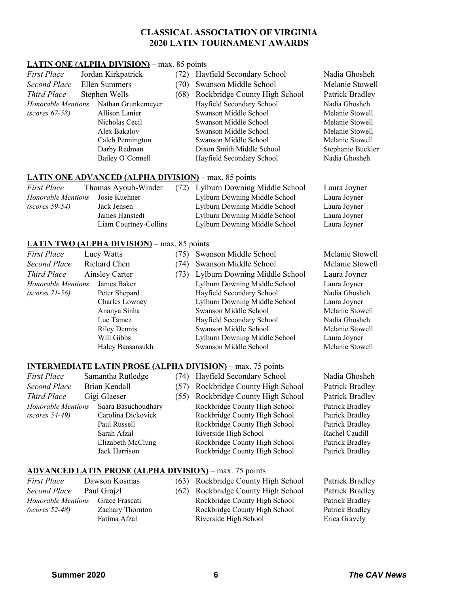## **CLASSICAL ASSOCIATION OF VIRGINIA 2020 LATIN TOURNAMENT AWARDS**

#### **LATIN ONE (ALPHA DIVISION)** – max. 85 points

| <b>First Place</b>        | Jordan Kirkpatrick |                                                             | (72) | Hayfield Secondary School                                                                                                                                                                                                                                                                                 | Nadia Ghosheh     |
|---------------------------|--------------------|-------------------------------------------------------------|------|-----------------------------------------------------------------------------------------------------------------------------------------------------------------------------------------------------------------------------------------------------------------------------------------------------------|-------------------|
| <b>Second Place</b>       | Ellen Summers      |                                                             | (70) | Swanson Middle School                                                                                                                                                                                                                                                                                     | Melanie Stowell   |
| Third Place               |                    | Stephen Wells                                               | (68) | Rockbridge County High School                                                                                                                                                                                                                                                                             | Patrick Bradley   |
| <b>Honorable Mentions</b> |                    | Nathan Grunkemeyer                                          |      | Hayfield Secondary School                                                                                                                                                                                                                                                                                 | Nadia Ghosheh     |
| $(scores 67-58)$          |                    | <b>Allison Lanier</b>                                       |      | Swanson Middle School                                                                                                                                                                                                                                                                                     | Melanie Stowell   |
|                           |                    | Nicholas Cecil                                              |      | Swanson Middle School                                                                                                                                                                                                                                                                                     | Melanie Stowell   |
|                           |                    | Alex Bakalov                                                |      | Swanson Middle School                                                                                                                                                                                                                                                                                     | Melanie Stowell   |
|                           |                    | Caleb Pennington                                            |      | Swanson Middle School                                                                                                                                                                                                                                                                                     | Melanie Stowell   |
|                           |                    | Darby Redman                                                |      | Dixon Smith Middle School                                                                                                                                                                                                                                                                                 | Stephanie Buckler |
|                           |                    | Bailey O'Connell                                            |      | Hayfield Secondary School                                                                                                                                                                                                                                                                                 | Nadia Ghosheh     |
|                           |                    | <b>LATIN ONE ADVANCED (ALPHA DIVISION)</b> – max. 85 points |      |                                                                                                                                                                                                                                                                                                           |                   |
| <b>First Place</b>        |                    | Thomas Ayoub-Winder                                         |      | (72) Lylburn Downing Middle School                                                                                                                                                                                                                                                                        | Laura Joyner      |
| Honorable Mentions        |                    | Josie Kuehner                                               |      | Lylburn Downing Middle School                                                                                                                                                                                                                                                                             | Laura Joyner      |
| $\sqrt{2}$                |                    | $\mathbf{r}$ and $\mathbf{r}$                               |      | $\mathbf{r}$ 11 $\mathbf{r}$ $\mathbf{r}$ 11 $\mathbf{r}$ 11 $\mathbf{r}$ 11 $\mathbf{r}$ 11 $\mathbf{r}$ 11 $\mathbf{r}$ 11 $\mathbf{r}$ 11 $\mathbf{r}$ 11 $\mathbf{r}$ 11 $\mathbf{r}$ 11 $\mathbf{r}$ 11 $\mathbf{r}$ 11 $\mathbf{r}$ 11 $\mathbf{r}$ 11 $\mathbf{r}$ 11 $\mathbf{r}$ 11 $\mathbf{r}$ | т т.              |

| rust tuce          | THUIHAS AVUUU VIIIUUI | $(72)$ Lyround Downing bridge School | Laura JOYNC  |
|--------------------|-----------------------|--------------------------------------|--------------|
| Honorable Mentions | Josie Kuehner         | Lylburn Downing Middle School        | Laura Joyner |
| $(scores 59-54)$   | Jack Jensen           | Lylburn Downing Middle School        | Laura Joyner |
|                    | James Hanstedt        | Lylburn Downing Middle School        | Laura Joyner |
|                    | Liam Courtney-Collins | Lylburn Downing Middle School        | Laura Joyner |
|                    |                       |                                      |              |

#### **LATIN TWO (ALPHA DIVISION)** – max. 85 points

| <i>First Place</i> | Lucy Watts            | Swanson Middle School<br>(75) |                               | Melanie Stowell |
|--------------------|-----------------------|-------------------------------|-------------------------------|-----------------|
| Second Place       | Richard Chen<br>(74)  |                               | Swanson Middle School         | Melanie Stowell |
| Third Place        | <b>Ainsley Carter</b> |                               | Lylburn Downing Middle School | Laura Joyner    |
| Honorable Mentions | James Baker           |                               | Lylburn Downing Middle School | Laura Joyner    |
| $(scores 71-56)$   | Peter Shepard         |                               | Hayfield Secondary School     | Nadia Ghosheh   |
|                    | Charles Lowney        |                               | Lylburn Downing Middle School | Laura Joyner    |
|                    | Ananya Sinha          |                               | Swanson Middle School         | Melanie Stowell |
|                    | Luc Tamez             |                               | Hayfield Secondary School     | Nadia Ghosheh   |
|                    | <b>Riley Dennis</b>   |                               | Swanson Middle School         | Melanie Stowell |
|                    | Will Gibbs            |                               | Lylburn Downing Middle School | Laura Joyner    |
|                    | Haley Baasansukh      |                               | Swanson Middle School         | Melanie Stowell |
|                    |                       |                               |                               |                 |

**INTERMEDIATE LATIN PROSE (ALPHA DIVISION)** – max. 75 points

*First Place* Samantha Rutledge (74) Hayfield Secondary School Nadia Ghosheh *Second Place* Brian Kendall (57) Rockbridge County High School Patrick Bradley *Third Place* Gigi Glaeser (55) Rockbridge County High School Patrick Bradley *Honorable Mentions* Saara Basuchoudhary Rockbridge County High School Patrick Bradley *(scores* 54-49) Carolina Dickovick Rockbridge County High School Patrick Bradley

Paul Russell **Rockbridge County High School** Patrick Bradley Sarah Afzal Riverside High School Rachel Caudill Elizabeth McClung Rockbridge County High School Patrick Bradley Jack Harrison Rockbridge County High School Patrick Bradley

#### **ADVANCED LATIN PROSE (ALPHA DIVISION)** – max. 75 points

| <i>First Place</i>                  | Dawson Kos  |
|-------------------------------------|-------------|
| Second Place                        | Paul Grajzl |
| <i>Honorable Mentions</i> Grace Fra |             |
| $(scores 52-48)$                    | Zachary 7   |
|                                     | Fatima A    |

*Firsthands* **First** *Firstian Patrick Patrick* Bradley **Patrick** Bradley **(62)** Rockbridge County High School Patrick Bradley **Honorable Rockbridge County High School Patrick Bradley (Franch Fighter Rockbridge County High School Patrick Bradley** fzal Riverside High School Erica Gravely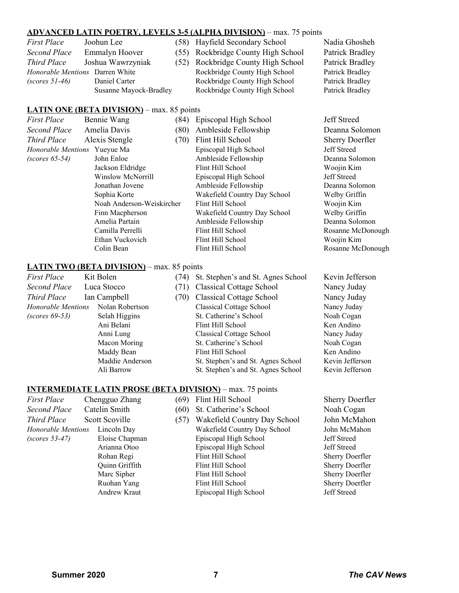#### **ADVANCED LATIN POETRY, LEVELS 3-5 (ALPHA DIVISION)** – max. 75 points

| First Place                            | Joohun Lee            |
|----------------------------------------|-----------------------|
| Second Place                           | <b>Emmalyn Hoover</b> |
| Third Place                            | Joshua Wawrzyniak     |
| <i>Honorable Mentions</i> Darren White |                       |
| $(scores 51-46)$                       | Daniel Carter         |
|                                        | Susanne Mayock-Bradl  |

*First Place* Joohun Lee (58) Hayfield Secondary School Nadia Ghosheh (55) Rockbridge County High School Patrick Bradley (52) Rockbridge County High School Patrick Bradley **Rockbridge County High School Patrick Bradley Rockbridge County High School Patrick Bradley** ey Rockbridge County High School Patrick Bradley

#### **LATIN ONE (BETA DIVISION)** – max. 85 points

| First Place               | Bennie Wang<br>(84)                               |      | Episcopal High School        | Jeff Streed            |
|---------------------------|---------------------------------------------------|------|------------------------------|------------------------|
| Second Place              | Amelia Davis<br>(80)                              |      | Ambleside Fellowship         | Deanna Solomon         |
| Third Place               | Alexis Stengle                                    | (70) | Flint Hill School            | <b>Sherry Doerfler</b> |
| <b>Honorable Mentions</b> | Yueyue Ma                                         |      | Episcopal High School        | Jeff Streed            |
| $(scores 65-54)$          | John Enloe                                        |      | Ambleside Fellowship         | Deanna Solomon         |
|                           | Jackson Eldridge                                  |      | Flint Hill School            | Woojin Kim             |
|                           | Winslow McNorrill                                 |      | Episcopal High School        | Jeff Streed            |
|                           | Jonathan Jovene                                   |      | Ambleside Fellowship         | Deanna Solomon         |
| Sophia Korte              |                                                   |      | Wakefield Country Day School | Welby Griffin          |
|                           | Noah Anderson-Weiskircher                         |      | Flint Hill School            | Woojin Kim             |
|                           | Finn Macpherson                                   |      | Wakefield Country Day School | Welby Griffin          |
|                           | Amelia Partain                                    |      | Ambleside Fellowship         | Deanna Solomon         |
|                           | Camilla Perrelli<br>Ethan Vuckovich<br>Colin Bean |      | Flint Hill School            | Rosanne McDonough      |
|                           |                                                   |      | Flint Hill School            | Woojin Kim             |
|                           |                                                   |      | Flint Hill School            | Rosanne McDonough      |

#### **LATIN TWO (BETA DIVISION)** – max. 85 points

| <i>First Place</i> | Kit Bolen       |
|--------------------|-----------------|
| Second Place       | Luca Stocco     |
| Third Place        | Ian Campbell    |
| Honorable Mentions | Nolan Robertson |
| $(scores 69-53)$   | Selah Higgins   |
|                    | Ani Belani      |
|                    | Anni Lung       |
|                    | Macon Moring    |
|                    | Maddy Bean      |
|                    | Maddie Anderson |
|                    | Ali Barrow      |

*First First* **Place** Kit Boles School Kevin Jefferson (71) Classical Cottage School Nancy Juday *Thirdh Place* Islam *Place* Islam *Place Place Place Place Place Place Place Place Place Place Place Place Place Place Place Place Place Place Place Place Place Place Place Homorable* Classical Cottage School Nancy Juday **St. Catherine's School Noah Cogan** Flint Hill School Ken Andino Classical Cottage School Nancy Juday St. Catherine's School Noah Cogan Flint Hill School Ken Andino St. Stephen's and St. Agnes School Kevin Jefferson St. Stephen's and St. Agnes School Kevin Jefferson

#### **INTERMEDIATE LATIN PROSE (BETA DIVISION)** – max. 75 points

| First Place                | Chengguo          |
|----------------------------|-------------------|
| <b>Second Place</b>        | Catelin Sm        |
| <b>Third Place</b>         | <b>Scott Scov</b> |
| Honorable Mentions Lincoln |                   |
| $(scores 53-47)$           | Eloise 0          |
|                            | Arianna           |
|                            | Rohan I           |
|                            | Quinn 0           |
|                            | Marc S            |
|                            |                   |

- *First Plance Place Plance Chengguo Zhang Plance Place Place Plance <i>Plance Plance Plance Plance Plance Plance Plance Plance Plance Plance Secondary Place Place Place Place Place Place Place Place Place Place Place Place Place Place Place Place Place Place Place Place Place Place Place Place Place Place P Thirdh* **Place** (57) Wakefield Country Day School John McMahon *H* Day *Wakefield Country Day School* John McMahon **Chapman** Episcopal High School Jeff Streed a Otoo **Episcopal High School** Jeff Streed Regi Flint Hill School Sherry Doerfler Griffith Flint Hill School Sherry Doerfler Marc Sherry Doerfler<br>
Flint Hill School Sherry Doerfler Ruohan Yang Flint Hill School Sherry Doerfler Andrew Kraut Episcopal High School Jeff Streed
-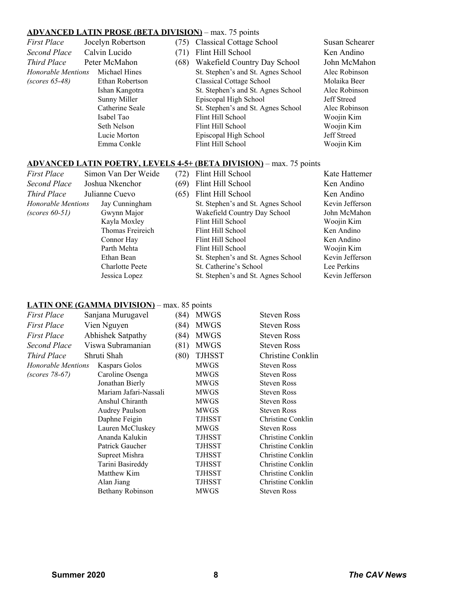## **ADVANCED LATIN PROSE (BETA DIVISION)** – max. 75 points

| <b>First Place</b>         | Jocelyn Robertson<br>(75) |      | <b>Classical Cottage School</b>                                            | Susan Schearer                                                                           |
|----------------------------|---------------------------|------|----------------------------------------------------------------------------|------------------------------------------------------------------------------------------|
| Second Place               | Calvin Lucido<br>(71)     |      | Flint Hill School                                                          | Ken Andino                                                                               |
| Third Place                | Peter McMahon             | (68) | Wakefield Country Day School                                               | John McMahon                                                                             |
| <b>Honorable Mentions</b>  | Michael Hines             |      | St. Stephen's and St. Agnes School                                         | Alec Robinson                                                                            |
| $(scores 65-48)$           | Ethan Robertson           |      | <b>Classical Cottage School</b>                                            | Molaika Beer                                                                             |
|                            | Ishan Kangotra            |      | St. Stephen's and St. Agnes School                                         | Alec Robinson                                                                            |
|                            | Sunny Miller              |      | Episcopal High School                                                      | <b>Jeff Streed</b>                                                                       |
|                            | Catherine Seale           |      | St. Stephen's and St. Agnes School                                         | Alec Robinson                                                                            |
|                            | Isabel Tao                |      | Flint Hill School                                                          | Woojin Kim                                                                               |
|                            | Seth Nelson               |      | Flint Hill School                                                          | Woojin Kim                                                                               |
|                            | Lucie Morton              |      | Episcopal High School                                                      | <b>Jeff Streed</b>                                                                       |
|                            | Emma Conkle               |      | Flint Hill School                                                          | Woojin Kim                                                                               |
|                            |                           |      | <b>ADVANCED LATIN POETRY, LEVELS 4-5+ (BETA DIVISION)</b> – max. 75 points |                                                                                          |
| $\Gamma$ $\Gamma$ $\Gamma$ |                           |      | $(70)$ $\Gamma$ <sup>1</sup> $\Gamma$ <sup>1</sup> $\Gamma$ <sup>1</sup>   | $\mathbf{I}^{\mathcal{T}}$ and $\mathbf{I}^{\mathcal{T}}$ and $\mathbf{I}^{\mathcal{T}}$ |

|                                 | <b>First Place</b>        | Simon Van Der Weide    | (72)              | Flint Hill School                  | Kate Hattemer   |
|---------------------------------|---------------------------|------------------------|-------------------|------------------------------------|-----------------|
| Second Place<br>Joshua Nkenchor |                           | (69)                   | Flint Hill School | Ken Andino                         |                 |
|                                 | Third Place               | Julianne Cuevo         | (65)              | Flint Hill School                  | Ken Andino      |
|                                 | <b>Honorable Mentions</b> | Jay Cunningham         |                   | St. Stephen's and St. Agnes School | Kevin Jefferson |
|                                 | $(scores 60-51)$          | Gwynn Major            |                   | Wakefield Country Day School       | John McMahon    |
|                                 |                           | Kayla Moxley           |                   | Flint Hill School                  | Woojin Kim      |
|                                 |                           | Thomas Freireich       |                   | Flint Hill School                  | Ken Andino      |
|                                 |                           | Connor Hay             |                   | Flint Hill School                  | Ken Andino      |
|                                 |                           | Parth Mehta            |                   | Flint Hill School                  | Woojin Kim      |
|                                 |                           | Ethan Bean             |                   | St. Stephen's and St. Agnes School | Kevin Jefferson |
|                                 |                           | <b>Charlotte Peete</b> |                   | St. Catherine's School             | Lee Perkins     |
|                                 |                           | Jessica Lopez          |                   | St. Stephen's and St. Agnes School | Kevin Jefferson |
|                                 |                           |                        |                   |                                    |                 |

## **LATIN ONE (GAMMA DIVISION)** – max. 85 points

| First Place        | Sanjana Murugavel     | (84) | <b>MWGS</b>   | <b>Steven Ross</b> |
|--------------------|-----------------------|------|---------------|--------------------|
| First Place        | Vien Nguyen           | (84) | <b>MWGS</b>   | <b>Steven Ross</b> |
| First Place        | Abhishek Satpathy     | (84) | <b>MWGS</b>   | <b>Steven Ross</b> |
| Second Place       | Viswa Subramanian     | (81) | <b>MWGS</b>   | <b>Steven Ross</b> |
| Third Place        | Shruti Shah           | (80) | <b>TJHSST</b> | Christine Conklin  |
| Honorable Mentions | Kaspars Golos         |      | <b>MWGS</b>   | <b>Steven Ross</b> |
| (scores 78-67)     | Caroline Osenga       |      | <b>MWGS</b>   | <b>Steven Ross</b> |
|                    | Jonathan Bierly       |      | <b>MWGS</b>   | <b>Steven Ross</b> |
|                    | Mariam Jafari-Nassali |      | <b>MWGS</b>   | <b>Steven Ross</b> |
|                    | Anshul Chiranth       |      | <b>MWGS</b>   | <b>Steven Ross</b> |
|                    | <b>Audrey Paulson</b> |      | <b>MWGS</b>   | <b>Steven Ross</b> |
|                    | Daphne Feigin         |      | TJHSST        | Christine Conklin  |
|                    | Lauren McCluskey      |      | <b>MWGS</b>   | <b>Steven Ross</b> |
|                    | Ananda Kalukin        |      | TJHSST        | Christine Conklin  |
|                    | Patrick Gaucher       |      | TJHSST        | Christine Conklin  |
|                    | Supreet Mishra        |      | TJHSST        | Christine Conklin  |
|                    | Tarini Basireddy      |      | TJHSST        | Christine Conklin  |
|                    | Matthew Kim           |      | TJHSST        | Christine Conklin  |
|                    | Alan Jiang            |      | TJHSST        | Christine Conklin  |
|                    | Bethany Robinson      |      | <b>MWGS</b>   | <b>Steven Ross</b> |
|                    |                       |      |               |                    |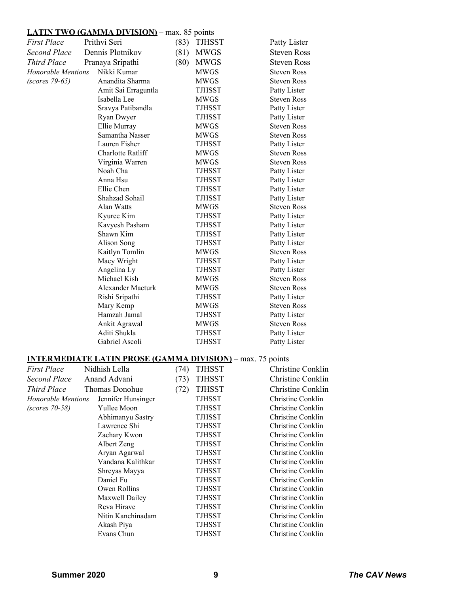# **LATIN TWO (GAMMA DIVISION)** – max. 85 points

| First Place               | Prithvi Seri        | (83) | <b>TJHSST</b> | Patty Lister       |
|---------------------------|---------------------|------|---------------|--------------------|
| Second Place              | Dennis Plotnikov    | (81) | <b>MWGS</b>   | <b>Steven Ross</b> |
| <b>Third Place</b>        | Pranaya Sripathi    | (80) | <b>MWGS</b>   | <b>Steven Ross</b> |
| <b>Honorable Mentions</b> | Nikki Kumar         |      | <b>MWGS</b>   | <b>Steven Ross</b> |
| (scores 79-65)            | Anandita Sharma     |      | <b>MWGS</b>   | <b>Steven Ross</b> |
|                           | Amit Sai Erraguntla |      | <b>TJHSST</b> | Patty Lister       |
|                           | Isabella Lee        |      | <b>MWGS</b>   | <b>Steven Ross</b> |
|                           | Sravya Patibandla   |      | <b>TJHSST</b> | Patty Lister       |
|                           | Ryan Dwyer          |      | TJHSST        | Patty Lister       |
|                           | Ellie Murray        |      | <b>MWGS</b>   | <b>Steven Ross</b> |
|                           | Samantha Nasser     |      | <b>MWGS</b>   | <b>Steven Ross</b> |
|                           | Lauren Fisher       |      | TJHSST        | Patty Lister       |
|                           | Charlotte Ratliff   |      | <b>MWGS</b>   | <b>Steven Ross</b> |
|                           | Virginia Warren     |      | <b>MWGS</b>   | <b>Steven Ross</b> |
|                           | Noah Cha            |      | <b>TJHSST</b> | Patty Lister       |
|                           | Anna Hsu            |      | <b>TJHSST</b> | Patty Lister       |
|                           | Ellie Chen          |      | <b>TJHSST</b> | Patty Lister       |
|                           | Shahzad Sohail      |      | <b>TJHSST</b> | Patty Lister       |
|                           | Alan Watts          |      | <b>MWGS</b>   | <b>Steven Ross</b> |
|                           | Kyuree Kim          |      | TJHSST        | Patty Lister       |
|                           | Kavyesh Pasham      |      | <b>TJHSST</b> | Patty Lister       |
|                           | Shawn Kim           |      | <b>TJHSST</b> | Patty Lister       |
|                           | <b>Alison Song</b>  |      | <b>TJHSST</b> | Patty Lister       |
|                           | Kaitlyn Tomlin      |      | <b>MWGS</b>   | <b>Steven Ross</b> |
|                           | Macy Wright         |      | <b>TJHSST</b> | Patty Lister       |
|                           | Angelina Ly         |      | <b>TJHSST</b> | Patty Lister       |
|                           | Michael Kish        |      | <b>MWGS</b>   | <b>Steven Ross</b> |
|                           | Alexander Macturk   |      | <b>MWGS</b>   | <b>Steven Ross</b> |
|                           | Rishi Sripathi      |      | <b>TJHSST</b> | Patty Lister       |
|                           | Mary Kemp           |      | <b>MWGS</b>   | <b>Steven Ross</b> |
|                           | Hamzah Jamal        |      | <b>TJHSST</b> | Patty Lister       |
|                           | Ankit Agrawal       |      | <b>MWGS</b>   | <b>Steven Ross</b> |
|                           | Aditi Shukla        |      | <b>TJHSST</b> | Patty Lister       |
|                           | Gabriel Ascoli      |      | <b>TJHSST</b> | Patty Lister       |
|                           |                     |      |               |                    |

# **INTERMEDIATE LATIN PROSE (GAMMA DIVISION)** – max. 75 points

| <b>First Place</b> | Nidhish Lella      | (74) | <b>TJHSST</b> | Christine Conklin |
|--------------------|--------------------|------|---------------|-------------------|
| Second Place       | Anand Advani       | (73) | <b>TJHSST</b> | Christine Conklin |
| Third Place        | Thomas Donohue     | (72) | <b>TJHSST</b> | Christine Conklin |
| Honorable Mentions | Jennifer Hunsinger |      | TJHSST        | Christine Conklin |
| $(scores 70-58)$   | Yullee Moon        |      | TJHSST        | Christine Conklin |
|                    | Abhimanyu Sastry   |      | TJHSST        | Christine Conklin |
|                    | Lawrence Shi       |      | TJHSST        | Christine Conklin |
|                    | Zachary Kwon       |      | TJHSST        | Christine Conklin |
|                    | Albert Zeng        |      | TJHSST        | Christine Conklin |
|                    | Aryan Agarwal      |      | TJHSST        | Christine Conklin |
|                    | Vandana Kalithkar  |      | TJHSST        | Christine Conklin |
|                    | Shreyas Mayya      |      | TJHSST        | Christine Conklin |
|                    | Daniel Fu          |      | <b>TJHSST</b> | Christine Conklin |
|                    | Owen Rollins       |      | TJHSST        | Christine Conklin |
|                    | Maxwell Dailey     |      | TJHSST        | Christine Conklin |
|                    | Reva Hirave        |      | TJHSST        | Christine Conklin |
|                    | Nitin Kanchinadam  |      | TJHSST        | Christine Conklin |
|                    | Akash Piya         |      | TJHSST        | Christine Conklin |
|                    | Evans Chun         |      | TJHSST        | Christine Conklin |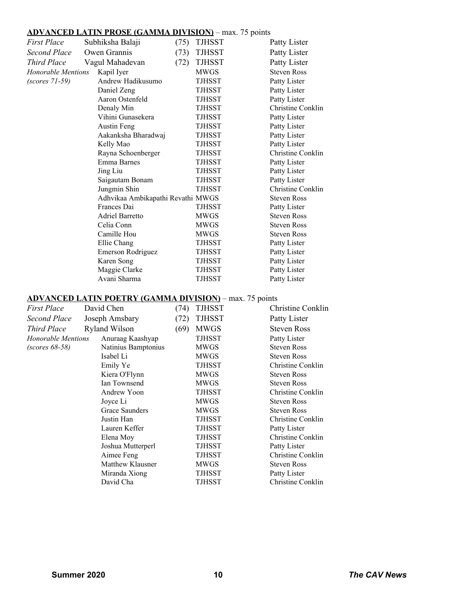## **ADVANCED LATIN PROSE (GAMMA DIVISION)** – max. 75 points

| <b>First Place</b>                      | Subhiksha Balaji                                               | (75) | <b>TJHSST</b> | Patty Lister                            |
|-----------------------------------------|----------------------------------------------------------------|------|---------------|-----------------------------------------|
| <b>Second Place</b>                     | Owen Grannis                                                   | (73) | <b>TJHSST</b> | Patty Lister                            |
| <b>Third Place</b>                      | Vagul Mahadevan                                                | (72) | <b>TJHSST</b> | Patty Lister                            |
| <b>Honorable Mentions</b><br>Kapil Iyer |                                                                |      | <b>MWGS</b>   | <b>Steven Ross</b>                      |
| Andrew Hadikusumo<br>$(scores 71-59)$   |                                                                |      | <b>TJHSST</b> | Patty Lister                            |
|                                         | Daniel Zeng                                                    |      | TJHSST        | Patty Lister                            |
|                                         | Aaron Ostenfeld                                                |      | TJHSST        | Patty Lister                            |
|                                         | Denaly Min                                                     |      | TJHSST        | Christine Conklin                       |
|                                         | Vihini Gunasekera                                              |      | TJHSST        | Patty Lister                            |
|                                         | <b>Austin Feng</b>                                             |      | TJHSST        | Patty Lister                            |
|                                         | Aakanksha Bharadwaj                                            |      | <b>TJHSST</b> | Patty Lister                            |
|                                         | Kelly Mao                                                      |      | TJHSST        | Patty Lister                            |
|                                         | Rayna Schoenberger                                             |      | <b>TJHSST</b> | Christine Conklin                       |
|                                         | Emma Barnes                                                    |      | TJHSST        | Patty Lister                            |
|                                         | Jing Liu                                                       |      | TJHSST        | Patty Lister                            |
|                                         | Saigautam Bonam                                                |      | <b>TJHSST</b> | Patty Lister                            |
|                                         | Jungmin Shin                                                   |      | TJHSST        | Christine Conklin                       |
|                                         | Adhvikaa Ambikapathi Revathi MWGS                              |      |               | <b>Steven Ross</b>                      |
|                                         | Frances Dai                                                    |      | <b>TJHSST</b> | Patty Lister                            |
|                                         | <b>Adriel Barretto</b>                                         |      | <b>MWGS</b>   | <b>Steven Ross</b>                      |
|                                         | Celia Conn                                                     |      | <b>MWGS</b>   | <b>Steven Ross</b>                      |
|                                         | Camille Hou                                                    |      | <b>MWGS</b>   | <b>Steven Ross</b>                      |
|                                         | Ellie Chang                                                    |      | TJHSST        | Patty Lister                            |
|                                         | Emerson Rodriguez                                              |      | TJHSST        | Patty Lister                            |
|                                         | Karen Song                                                     |      | TJHSST        | Patty Lister                            |
|                                         | Maggie Clarke                                                  |      | <b>TJHSST</b> | Patty Lister                            |
| Avani Sharma                            |                                                                |      | <b>TJHSST</b> | Patty Lister                            |
|                                         |                                                                |      |               |                                         |
|                                         | <b>ADVANCED LATIN POETRY (GAMMA DIVISION)</b> – max. 75 points |      |               |                                         |
| <b>First Place</b>                      | David Chen                                                     | (74) | <b>TJHSST</b> | Christine Conklin                       |
| <b>Second Place</b>                     | Joseph Amsbary                                                 | (72) | <b>TJHSST</b> | Patty Lister                            |
| <b>Third Place</b>                      | <b>Ryland Wilson</b>                                           | (69) | <b>MWGS</b>   | <b>Steven Ross</b>                      |
| <b>Honorable Mentions</b>               | Anuraag Kaashyap                                               |      | <b>TJHSST</b> | Patty Lister                            |
| $(scores 68-58)$                        | Natinius Bamptonius                                            |      | <b>MWGS</b>   | <b>Steven Ross</b>                      |
|                                         | Isabel Li                                                      |      | <b>MWGS</b>   | <b>Steven Ross</b>                      |
|                                         | Emily Ye                                                       |      | TJHSST        | Christine Conklin                       |
|                                         | Kiera O'Flynn                                                  |      | MWGS          | Steven Ross                             |
|                                         | Ian Townsend                                                   |      | <b>MWGS</b>   | <b>Steven Ross</b>                      |
|                                         | Andrew Yoon                                                    |      | <b>TJHSST</b> | Christine Conklin                       |
|                                         | Joyce Li                                                       |      | MWGS          | <b>Steven Ross</b>                      |
|                                         | <b>Grace Saunders</b>                                          |      |               | <b>Steven Ross</b>                      |
|                                         | Justin Han                                                     |      | <b>MWGS</b>   | Christine Conklin                       |
|                                         | Lauren Keffer                                                  |      | TJHSST        | Patty Lister                            |
|                                         |                                                                |      | TJHSST        | Christine Conklin                       |
|                                         | Elena Moy                                                      |      | TJHSST        | Patty Lister                            |
|                                         | Joshua Mutterperl                                              |      | TJHSST        |                                         |
|                                         | Aimee Feng                                                     |      | TJHSST        | Christine Conklin<br><b>Steven Ross</b> |
|                                         | Matthew Klausner                                               |      | MWGS          |                                         |
|                                         | Miranda Xiong<br>David Cha                                     |      | TJHSST        | Patty Lister<br>Christine Conklin       |
|                                         |                                                                |      | <b>TJHSST</b> |                                         |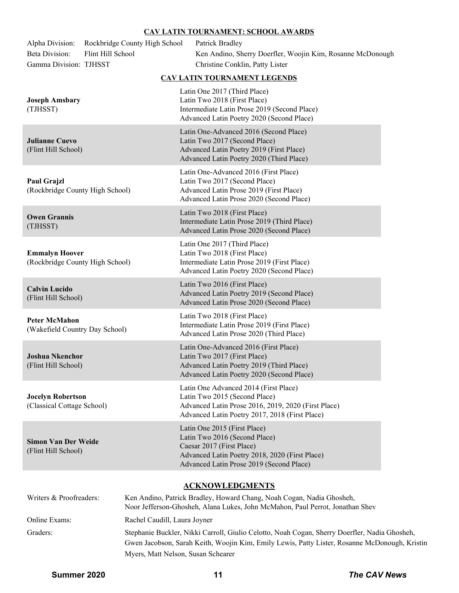#### **CAV LATIN TOURNAMENT: SCHOOL AWARDS**

| Alpha Division:<br><b>Beta Division:</b><br>Gamma Division: TJHSST | Rockbridge County High School<br>Flint Hill School | Patrick Bradley<br>Ken Andino, Sherry Doerfler, Woojin Kim, Rosanne McDonough<br>Christine Conklin, Patty Lister                                                                         |  |  |
|--------------------------------------------------------------------|----------------------------------------------------|------------------------------------------------------------------------------------------------------------------------------------------------------------------------------------------|--|--|
|                                                                    |                                                    | CAV LATIN TOURNAMENT LEGENDS                                                                                                                                                             |  |  |
| <b>Joseph Amsbary</b><br>(TJHSST)                                  |                                                    | Latin One 2017 (Third Place)<br>Latin Two 2018 (First Place)<br>Intermediate Latin Prose 2019 (Second Place)<br>Advanced Latin Poetry 2020 (Second Place)                                |  |  |
| <b>Julianne Cuevo</b><br>(Flint Hill School)                       |                                                    | Latin One-Advanced 2016 (Second Place)<br>Latin Two 2017 (Second Place)<br>Advanced Latin Poetry 2019 (First Place)<br>Advanced Latin Poetry 2020 (Third Place)                          |  |  |
| <b>Paul Grajzl</b><br>(Rockbridge County High School)              |                                                    | Latin One-Advanced 2016 (First Place)<br>Latin Two 2017 (Second Place)<br>Advanced Latin Prose 2019 (First Place)<br>Advanced Latin Prose 2020 (Second Place)                            |  |  |
| <b>Owen Grannis</b><br>(TJHSST)                                    |                                                    | Latin Two 2018 (First Place)<br>Intermediate Latin Prose 2019 (Third Place)<br>Advanced Latin Prose 2020 (Second Place)                                                                  |  |  |
| <b>Emmalyn Hoover</b><br>(Rockbridge County High School)           |                                                    | Latin One 2017 (Third Place)<br>Latin Two 2018 (First Place)<br>Intermediate Latin Prose 2019 (First Place)<br>Advanced Latin Poetry 2020 (Second Place)                                 |  |  |
| <b>Calvin Lucido</b><br>(Flint Hill School)                        |                                                    | Latin Two 2016 (First Place)<br>Advanced Latin Poetry 2019 (Second Place)<br>Advanced Latin Prose 2020 (Second Place)                                                                    |  |  |
| <b>Peter McMahon</b><br>(Wakefield Country Day School)             |                                                    | Latin Two 2018 (First Place)<br>Intermediate Latin Prose 2019 (First Place)<br>Advanced Latin Prose 2020 (Third Place)                                                                   |  |  |
| <b>Joshua Nkenchor</b><br>(Flint Hill School)                      |                                                    | Latin One-Advanced 2016 (First Place)<br>Latin Two 2017 (First Place)<br>Advanced Latin Poetry 2019 (Third Place)<br>Advanced Latin Poetry 2020 (Second Place)                           |  |  |
| <b>Jocelyn Robertson</b><br>(Classical Cottage School)             |                                                    | Latin One Advanced 2014 (First Place)<br>Latin Two 2015 (Second Place)<br>Advanced Latin Prose 2016, 2019, 2020 (First Place)<br>Advanced Latin Poetry 2017, 2018 (First Place)          |  |  |
| <b>Simon Van Der Weide</b><br>(Flint Hill School)                  |                                                    | Latin One 2015 (First Place)<br>Latin Two 2016 (Second Place)<br>Caesar 2017 (First Place)<br>Advanced Latin Poetry 2018, 2020 (First Place)<br>Advanced Latin Prose 2019 (Second Place) |  |  |
| <b>ACKNOWLEDGMENTS</b>                                             |                                                    |                                                                                                                                                                                          |  |  |
| Writers & Proofreaders:                                            |                                                    | Ken Andino, Patrick Bradley, Howard Chang, Noah Cogan, Nadia Ghosheh,<br>Noor Jefferson-Ghosheh, Alana Lukes, John McMahon, Paul Perrot, Jonathan Shev                                   |  |  |

Graders: Stephanie Buckler, Nikki Carroll, Giulio Celotto, Noah Cogan, Sherry Doerfler, Nadia Ghosheh, Gwen Jacobson, Sarah Keith, Woojin Kim, Emily Lewis, Patty Lister, Rosanne McDonough, Kristin Myers, Matt Nelson, Susan Schearer

Online Exams: Rachel Caudill, Laura Joyner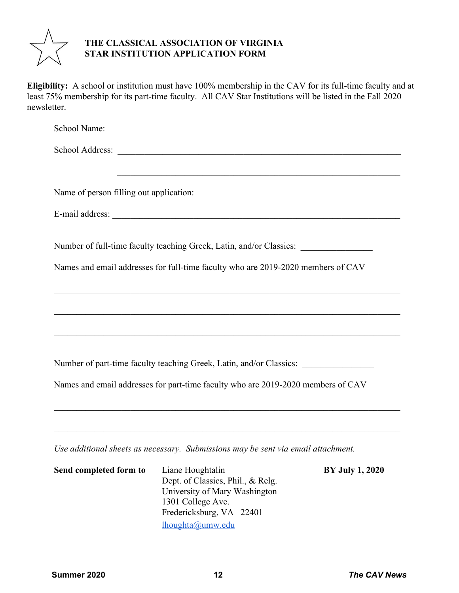

# **THE CLASSICAL ASSOCIATION OF VIRGINIA STAR INSTITUTION APPLICATION FORM**

**Eligibility:** A school or institution must have 100% membership in the CAV for its full-time faculty and at least 75% membership for its part-time faculty. All CAV Star Institutions will be listed in the Fall 2020 newsletter.

| and the control of the control of the control of the control of the control of the control of the control of the                                                 |
|------------------------------------------------------------------------------------------------------------------------------------------------------------------|
|                                                                                                                                                                  |
|                                                                                                                                                                  |
|                                                                                                                                                                  |
| Number of full-time faculty teaching Greek, Latin, and/or Classics: ____________                                                                                 |
| Names and email addresses for full-time faculty who are 2019-2020 members of CAV                                                                                 |
|                                                                                                                                                                  |
|                                                                                                                                                                  |
|                                                                                                                                                                  |
| <u> 1989 - Johann Barn, mars an t-Amerikaansk komponent († 1908)</u>                                                                                             |
| Number of part-time faculty teaching Greek, Latin, and/or Classics:                                                                                              |
| Names and email addresses for part-time faculty who are 2019-2020 members of CAV                                                                                 |
| ,我们也不能在这里的时候,我们也不能在这里的时候,我们也不能在这里的时候,我们也不能会在这里的时候,我们也不能会在这里的时候,我们也不能会在这里的时候,我们也不                                                                                 |
|                                                                                                                                                                  |
|                                                                                                                                                                  |
| Use additional sheets as necessary. Submissions may be sent via email attachment.<br>$\alpha$ i iii $\alpha$ iii $\alpha$ iii $\alpha$ iii $\alpha$ iii $\alpha$ |

| Send completed form to | Liane Houghtalin                  | <b>BY July 1, 2020</b> |
|------------------------|-----------------------------------|------------------------|
|                        | Dept. of Classics, Phil., & Relg. |                        |
|                        | University of Mary Washington     |                        |
|                        | 1301 College Ave.                 |                        |
|                        | Fredericksburg, VA 22401          |                        |
|                        | lhoughta@umw.edu                  |                        |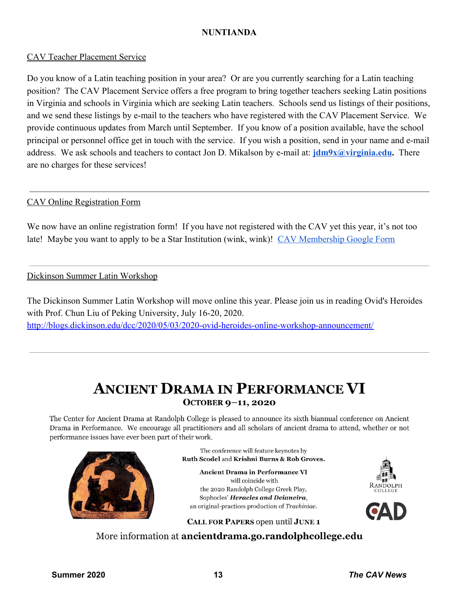# **NUNTIANDA**

# CAV Teacher Placement Service

Do you know of a Latin teaching position in your area? Or are you currently searching for a Latin teaching position? The CAV Placement Service offers a free program to bring together teachers seeking Latin positions in Virginia and schools in Virginia which are seeking Latin teachers. Schools send us listings of their positions, and we send these listings by e-mail to the teachers who have registered with the CAV Placement Service. We provide continuous updates from March until September. If you know of a position available, have the school principal or personnel office get in touch with the service. If you wish a position, send in your name and e-mail address. We ask schools and teachers to contact Jon D. Mikalson by e-mail at: **[jdm9x@virginia.edu](mailto:jdm9x@virginia.edu).** There are no charges for these services!

# CAV Online Registration Form

We now have an online registration form! If you have not registered with the CAV yet this year, it's not too late! Maybe you want to apply to be a Star Institution (wink, wink)! [CAV Membership Google Form](https://forms.gle/wgS4UefN7kvhj8aM8)

# Dickinson Summer Latin Workshop

The Dickinson Summer Latin Workshop will move online this year. Please join us in reading Ovid's Heroides with Prof. Chun Liu of Peking University, July 16-20, 2020. <http://blogs.dickinson.edu/dcc/2020/05/03/2020-ovid-heroides-online-workshop-announcement/>

# **ANCIENT DRAMA IN PERFORMANCE VI** OCTOBER 9-11, 2020

The Center for Ancient Drama at Randolph College is pleased to announce its sixth biannual conference on Ancient Drama in Performance. We encourage all practitioners and all scholars of ancient drama to attend, whether or not performance issues have ever been part of their work.



The conference will feature keynotes by Ruth Scodel and Krishni Burns & Rob Groves.

**Ancient Drama in Performance VI** will coincide with the 2020 Randolph College Greek Play, Sophocles' Heracles and Deianeira, an original-practices production of Trachiniae.



CALL FOR PAPERS open until JUNE 1

More information at ancientdrama.go.randolphcollege.edu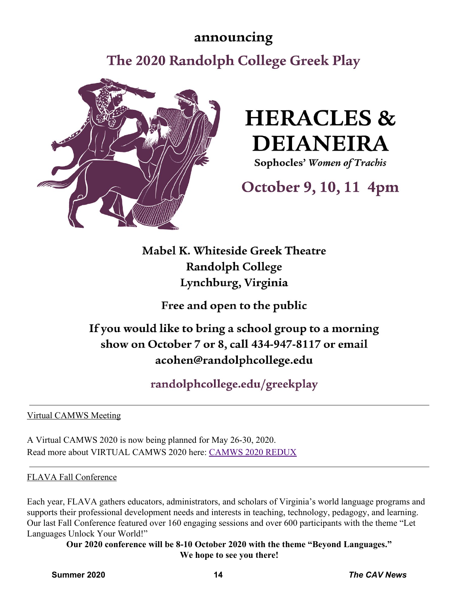# announcing

The 2020 Randolph College Greek Play



# **HERACLES & DEIANEIRA**

Sophocles' Women of Trachis

# October 9, 10, 11 4pm

Mabel K. Whiteside Greek Theatre **Randolph College** Lynchburg, Virginia

Free and open to the public

# If you would like to bring a school group to a morning show on October 7 or 8, call 434-947-8117 or email acohen@randolphcollege.edu

randolphcollege.edu/greekplay

Virtual CAMWS Meeting

A Virtual CAMWS 2020 is now being planned for May 26-30, 2020. Read more about VIRTUAL CAMWS 2020 here: [CAMWS 2020 REDUX](https://camws.org/node/1754)

# FLAVA Fall Conference

Each year, FLAVA gathers educators, administrators, and scholars of Virginia's world language programs and supports their professional development needs and interests in teaching, technology, pedagogy, and learning. Our last Fall Conference featured over 160 engaging sessions and over 600 participants with the theme "Let Languages Unlock Your World!"

**Our 2020 conference will be 8-10 October 2020 with the theme "Beyond Languages." We hope to see you there!**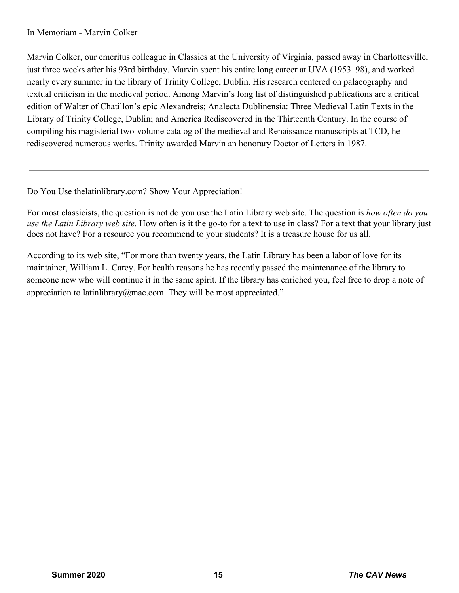# In Memoriam - Marvin Colker

Marvin Colker, our emeritus colleague in Classics at the University of Virginia, passed away in Charlottesville, just three weeks after his 93rd birthday. Marvin spent his entire long career at UVA (1953–98), and worked nearly every summer in the library of Trinity College, Dublin. His research centered on palaeography and textual criticism in the medieval period. Among Marvin's long list of distinguished publications are a critical edition of Walter of Chatillon's epic Alexandreis; Analecta Dublinensia: Three Medieval Latin Texts in the Library of Trinity College, Dublin; and America Rediscovered in the Thirteenth Century. In the course of compiling his magisterial two-volume catalog of the medieval and Renaissance manuscripts at TCD, he rediscovered numerous works. Trinity awarded Marvin an honorary Doctor of Letters in 1987.

# Do You Use the latin library.com? Show Your Appreciation!

For most classicists, the question is not do you use the Latin Library web site. The question is *how often do you use the Latin Library web site.* How often is it the go-to for a text to use in class? For a text that your library just does not have? For a resource you recommend to your students? It is a treasure house for us all.

According to its web site, "For more than twenty years, the Latin Library has been a labor of love for its maintainer, William L. Carey. For health reasons he has recently passed the maintenance of the library to someone new who will continue it in the same spirit. If the library has enriched you, feel free to drop a note of appreciation to latinlibrary@mac.com. They will be most appreciated."